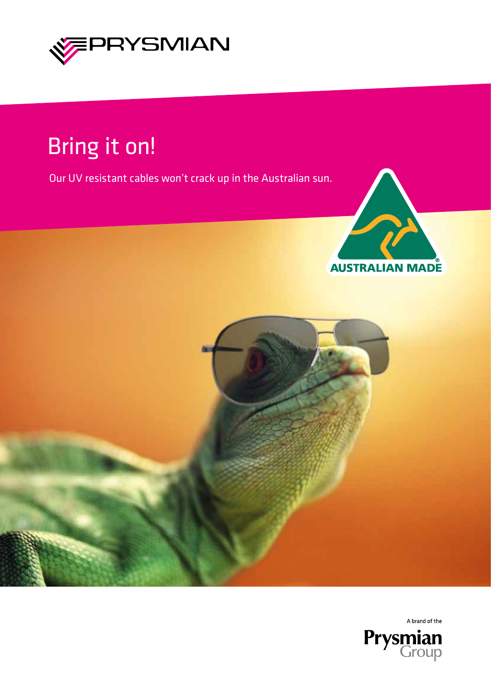

## Bring it on!

Our UV resistant cables won't crack up in the Australian sun.







A brand of the